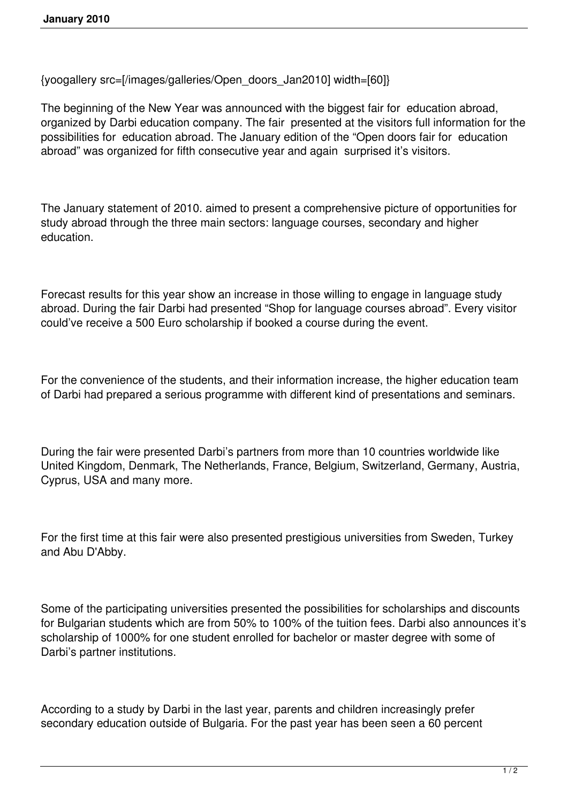{yoogallery src=[/images/galleries/Open\_doors\_Jan2010] width=[60]}

The beginning of the New Year was announced with the biggest fair for education abroad, organized by Darbi education company. The fair presented at the visitors full information for the possibilities for education abroad. The January edition of the "Open doors fair for education abroad" was organized for fifth consecutive year and again surprised it's visitors.

The January statement of 2010. aimed to present a comprehensive picture of opportunities for study abroad through the three main sectors: language courses, secondary and higher education.

Forecast results for this year show an increase in those willing to engage in language study abroad. During the fair Darbi had presented "Shop for language courses abroad". Every visitor could've receive a 500 Euro scholarship if booked a course during the event.

For the convenience of the students, and their information increase, the higher education team of Darbi had prepared a serious programme with different kind of presentations and seminars.

During the fair were presented Darbi's partners from more than 10 countries worldwide like United Kingdom, Denmark, The Netherlands, France, Belgium, Switzerland, Germany, Austria, Cyprus, USA and many more.

For the first time at this fair were also presented prestigious universities from Sweden, Turkey and Abu D'Abby.

Some of the participating universities presented the possibilities for scholarships and discounts for Bulgarian students which are from 50% to 100% of the tuition fees. Darbi also announces it's scholarship of 1000% for one student enrolled for bachelor or master degree with some of Darbi's partner institutions.

According to a study by Darbi in the last year, parents and children increasingly prefer secondary education outside of Bulgaria. For the past year has been seen a 60 percent